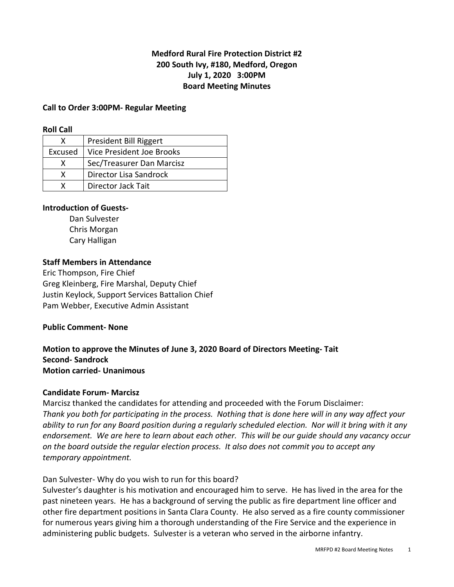# **Medford Rural Fire Protection District #2 200 South Ivy, #180, Medford, Oregon July 1, 2020 3:00PM Board Meeting Minutes**

### **Call to Order 3:00PM- Regular Meeting**

#### **Roll Call**

|         | President Bill Riggert    |
|---------|---------------------------|
| Excused | Vice President Joe Brooks |
| x       | Sec/Treasurer Dan Marcisz |
| x       | Director Lisa Sandrock    |
|         | Director Jack Tait        |

### **Introduction of Guests-**

Dan Sulvester Chris Morgan Cary Halligan

### **Staff Members in Attendance**

Eric Thompson, Fire Chief Greg Kleinberg, Fire Marshal, Deputy Chief Justin Keylock, Support Services Battalion Chief Pam Webber, Executive Admin Assistant

#### **Public Comment- None**

### **Motion to approve the Minutes of June 3, 2020 Board of Directors Meeting- Tait Second- Sandrock Motion carried- Unanimous**

#### **Candidate Forum- Marcisz**

Marcisz thanked the candidates for attending and proceeded with the Forum Disclaimer: *Thank you both for participating in the process. Nothing that is done here will in any way affect your ability to run for any Board position during a regularly scheduled election. Nor will it bring with it any endorsement. We are here to learn about each other. This will be our guide should any vacancy occur on the board outside the regular election process. It also does not commit you to accept any temporary appointment.* 

## Dan Sulvester- Why do you wish to run for this board?

Sulvester's daughter is his motivation and encouraged him to serve. He has lived in the area for the past nineteen years. He has a background of serving the public as fire department line officer and other fire department positions in Santa Clara County. He also served as a fire county commissioner for numerous years giving him a thorough understanding of the Fire Service and the experience in administering public budgets. Sulvester is a veteran who served in the airborne infantry.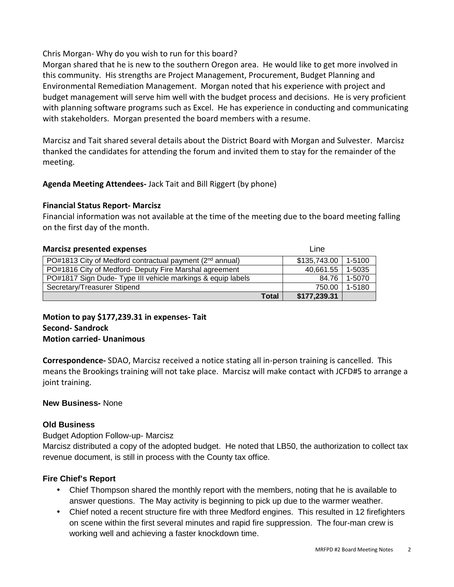Chris Morgan- Why do you wish to run for this board?

Morgan shared that he is new to the southern Oregon area. He would like to get more involved in this community. His strengths are Project Management, Procurement, Budget Planning and Environmental Remediation Management. Morgan noted that his experience with project and budget management will serve him well with the budget process and decisions. He is very proficient with planning software programs such as Excel. He has experience in conducting and communicating with stakeholders. Morgan presented the board members with a resume.

Marcisz and Tait shared several details about the District Board with Morgan and Sulvester. Marcisz thanked the candidates for attending the forum and invited them to stay for the remainder of the meeting.

**Agenda Meeting Attendees-** Jack Tait and Bill Riggert (by phone)

# **Financial Status Report- Marcisz**

Financial information was not available at the time of the meeting due to the board meeting falling on the first day of the month.

| <b>Marcisz presented expenses</b>                                    | Line         |        |
|----------------------------------------------------------------------|--------------|--------|
| PO#1813 City of Medford contractual payment (2 <sup>nd</sup> annual) | \$135,743.00 | 1-5100 |
| PO#1816 City of Medford- Deputy Fire Marshal agreement               | 40,661.55    | 1-5035 |
| PO#1817 Sign Dude- Type III vehicle markings & equip labels          | 84.76        | 1-5070 |
| Secretary/Treasurer Stipend                                          | 750.00       | 1-5180 |
| <b>Total</b>                                                         | \$177,239.31 |        |

**Motion to pay \$177,239.31 in expenses- Tait Second- Sandrock Motion carried- Unanimous** 

**Correspondence-** SDAO, Marcisz received a notice stating all in-person training is cancelled. This means the Brookings training will not take place. Marcisz will make contact with JCFD#5 to arrange a joint training.

# **New Business-** None

## **Old Business**

Budget Adoption Follow-up- Marcisz

Marcisz distributed a copy of the adopted budget. He noted that LB50, the authorization to collect tax revenue document, is still in process with the County tax office.

# **Fire Chief's Report**

- Chief Thompson shared the monthly report with the members, noting that he is available to answer questions. The May activity is beginning to pick up due to the warmer weather.
- Chief noted a recent structure fire with three Medford engines. This resulted in 12 firefighters on scene within the first several minutes and rapid fire suppression. The four-man crew is working well and achieving a faster knockdown time.